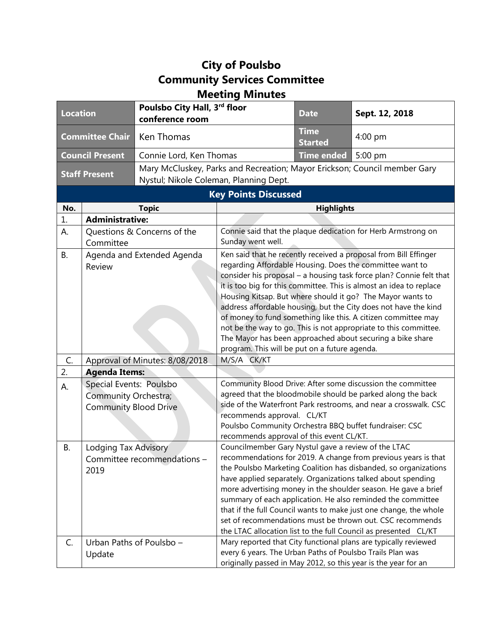## **City of Poulsbo Community Services Committee Meeting Minutes**

| <b>Location</b>             |                                                      | Poulsbo City Hall, 3rd floor<br>conference room                           |                                                                                                                                                                                                                                                                                                                                                                                                                                                                                                                                                                                                                                                                | <b>Date</b>                   | Sept. 12, 2018                                                                                                                                                                                                                                                                                                                                                                                                                                                                                                                          |  |
|-----------------------------|------------------------------------------------------|---------------------------------------------------------------------------|----------------------------------------------------------------------------------------------------------------------------------------------------------------------------------------------------------------------------------------------------------------------------------------------------------------------------------------------------------------------------------------------------------------------------------------------------------------------------------------------------------------------------------------------------------------------------------------------------------------------------------------------------------------|-------------------------------|-----------------------------------------------------------------------------------------------------------------------------------------------------------------------------------------------------------------------------------------------------------------------------------------------------------------------------------------------------------------------------------------------------------------------------------------------------------------------------------------------------------------------------------------|--|
| <b>Committee Chair</b>      |                                                      | Ken Thomas                                                                |                                                                                                                                                                                                                                                                                                                                                                                                                                                                                                                                                                                                                                                                | <b>Time</b><br><b>Started</b> | $4:00$ pm                                                                                                                                                                                                                                                                                                                                                                                                                                                                                                                               |  |
| <b>Council Present</b>      |                                                      | Connie Lord, Ken Thomas                                                   |                                                                                                                                                                                                                                                                                                                                                                                                                                                                                                                                                                                                                                                                | <b>Time ended</b>             | 5:00 pm                                                                                                                                                                                                                                                                                                                                                                                                                                                                                                                                 |  |
| <b>Staff Present</b>        |                                                      | Mary McCluskey, Parks and Recreation; Mayor Erickson; Council member Gary |                                                                                                                                                                                                                                                                                                                                                                                                                                                                                                                                                                                                                                                                |                               |                                                                                                                                                                                                                                                                                                                                                                                                                                                                                                                                         |  |
|                             |                                                      | Nystul; Nikole Coleman, Planning Dept.                                    |                                                                                                                                                                                                                                                                                                                                                                                                                                                                                                                                                                                                                                                                |                               |                                                                                                                                                                                                                                                                                                                                                                                                                                                                                                                                         |  |
| <b>Key Points Discussed</b> |                                                      |                                                                           |                                                                                                                                                                                                                                                                                                                                                                                                                                                                                                                                                                                                                                                                |                               |                                                                                                                                                                                                                                                                                                                                                                                                                                                                                                                                         |  |
| No.                         | <b>Topic</b>                                         |                                                                           | <b>Highlights</b>                                                                                                                                                                                                                                                                                                                                                                                                                                                                                                                                                                                                                                              |                               |                                                                                                                                                                                                                                                                                                                                                                                                                                                                                                                                         |  |
| 1.                          | <b>Administrative:</b>                               |                                                                           |                                                                                                                                                                                                                                                                                                                                                                                                                                                                                                                                                                                                                                                                |                               |                                                                                                                                                                                                                                                                                                                                                                                                                                                                                                                                         |  |
| А.                          | Questions & Concerns of the<br>Committee             |                                                                           | Connie said that the plaque dedication for Herb Armstrong on<br>Sunday went well.                                                                                                                                                                                                                                                                                                                                                                                                                                                                                                                                                                              |                               |                                                                                                                                                                                                                                                                                                                                                                                                                                                                                                                                         |  |
| <b>B.</b>                   | Agenda and Extended Agenda<br>Review                 |                                                                           | Ken said that he recently received a proposal from Bill Effinger<br>regarding Affordable Housing. Does the committee want to<br>consider his proposal - a housing task force plan? Connie felt that<br>it is too big for this committee. This is almost an idea to replace<br>Housing Kitsap. But where should it go? The Mayor wants to<br>address affordable housing, but the City does not have the kind<br>of money to fund something like this. A citizen committee may<br>not be the way to go. This is not appropriate to this committee.<br>The Mayor has been approached about securing a bike share<br>program. This will be put on a future agenda. |                               |                                                                                                                                                                                                                                                                                                                                                                                                                                                                                                                                         |  |
| C.                          | Approval of Minutes: 8/08/2018                       |                                                                           | M/S/A CK/KT                                                                                                                                                                                                                                                                                                                                                                                                                                                                                                                                                                                                                                                    |                               |                                                                                                                                                                                                                                                                                                                                                                                                                                                                                                                                         |  |
| 2.                          | <b>Agenda Items:</b>                                 |                                                                           |                                                                                                                                                                                                                                                                                                                                                                                                                                                                                                                                                                                                                                                                |                               |                                                                                                                                                                                                                                                                                                                                                                                                                                                                                                                                         |  |
| А.                          | Special Events: Poulsbo                              |                                                                           | Community Blood Drive: After some discussion the committee<br>agreed that the bloodmobile should be parked along the back                                                                                                                                                                                                                                                                                                                                                                                                                                                                                                                                      |                               |                                                                                                                                                                                                                                                                                                                                                                                                                                                                                                                                         |  |
|                             | Community Orchestra;<br><b>Community Blood Drive</b> |                                                                           | side of the Waterfront Park restrooms, and near a crosswalk. CSC                                                                                                                                                                                                                                                                                                                                                                                                                                                                                                                                                                                               |                               |                                                                                                                                                                                                                                                                                                                                                                                                                                                                                                                                         |  |
|                             |                                                      |                                                                           | recommends approval. CL/KT                                                                                                                                                                                                                                                                                                                                                                                                                                                                                                                                                                                                                                     |                               |                                                                                                                                                                                                                                                                                                                                                                                                                                                                                                                                         |  |
|                             |                                                      |                                                                           | Poulsbo Community Orchestra BBQ buffet fundraiser: CSC                                                                                                                                                                                                                                                                                                                                                                                                                                                                                                                                                                                                         |                               |                                                                                                                                                                                                                                                                                                                                                                                                                                                                                                                                         |  |
| В.                          | Lodging Tax Advisory<br>2019                         | Committee recommendations -                                               | recommends approval of this event CL/KT.<br>Councilmember Gary Nystul gave a review of the LTAC                                                                                                                                                                                                                                                                                                                                                                                                                                                                                                                                                                |                               | recommendations for 2019. A change from previous years is that<br>the Poulsbo Marketing Coalition has disbanded, so organizations<br>have applied separately. Organizations talked about spending<br>more advertising money in the shoulder season. He gave a brief<br>summary of each application. He also reminded the committee<br>that if the full Council wants to make just one change, the whole<br>set of recommendations must be thrown out. CSC recommends<br>the LTAC allocation list to the full Council as presented CL/KT |  |
| C.                          | Update                                               | Urban Paths of Poulsbo -                                                  | every 6 years. The Urban Paths of Poulsbo Trails Plan was                                                                                                                                                                                                                                                                                                                                                                                                                                                                                                                                                                                                      |                               | Mary reported that City functional plans are typically reviewed<br>originally passed in May 2012, so this year is the year for an                                                                                                                                                                                                                                                                                                                                                                                                       |  |